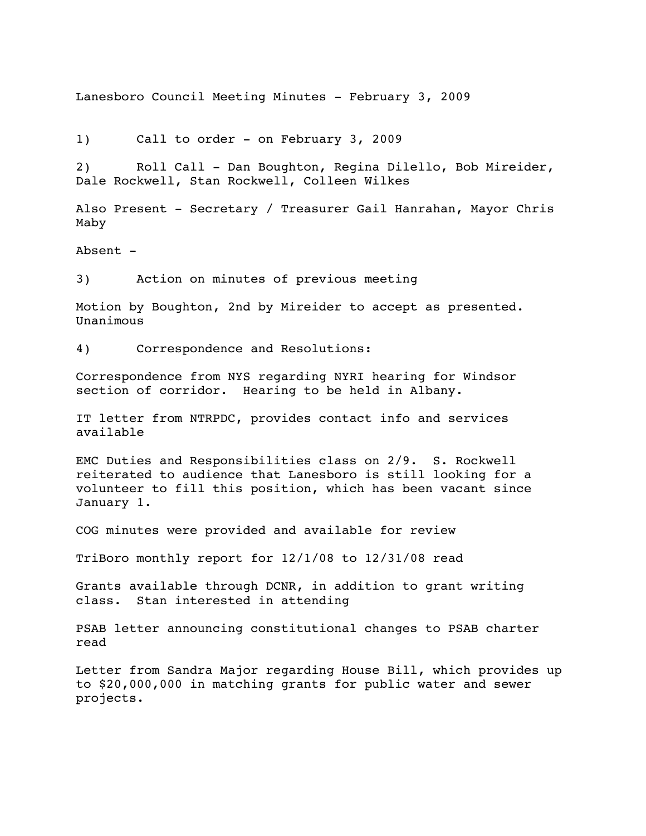Lanesboro Council Meeting Minutes - February 3, 2009

1) Call to order - on February 3, 2009

2) Roll Call - Dan Boughton, Regina Dilello, Bob Mireider, Dale Rockwell, Stan Rockwell, Colleen Wilkes

Also Present - Secretary / Treasurer Gail Hanrahan, Mayor Chris Maby

Absent -

3) Action on minutes of previous meeting

Motion by Boughton, 2nd by Mireider to accept as presented. Unanimous

4) Correspondence and Resolutions:

Correspondence from NYS regarding NYRI hearing for Windsor section of corridor. Hearing to be held in Albany.

IT letter from NTRPDC, provides contact info and services available

EMC Duties and Responsibilities class on 2/9. S. Rockwell reiterated to audience that Lanesboro is still looking for a volunteer to fill this position, which has been vacant since January 1.

COG minutes were provided and available for review

TriBoro monthly report for 12/1/08 to 12/31/08 read

Grants available through DCNR, in addition to grant writing class. Stan interested in attending

PSAB letter announcing constitutional changes to PSAB charter read

Letter from Sandra Major regarding House Bill, which provides up to \$20,000,000 in matching grants for public water and sewer projects.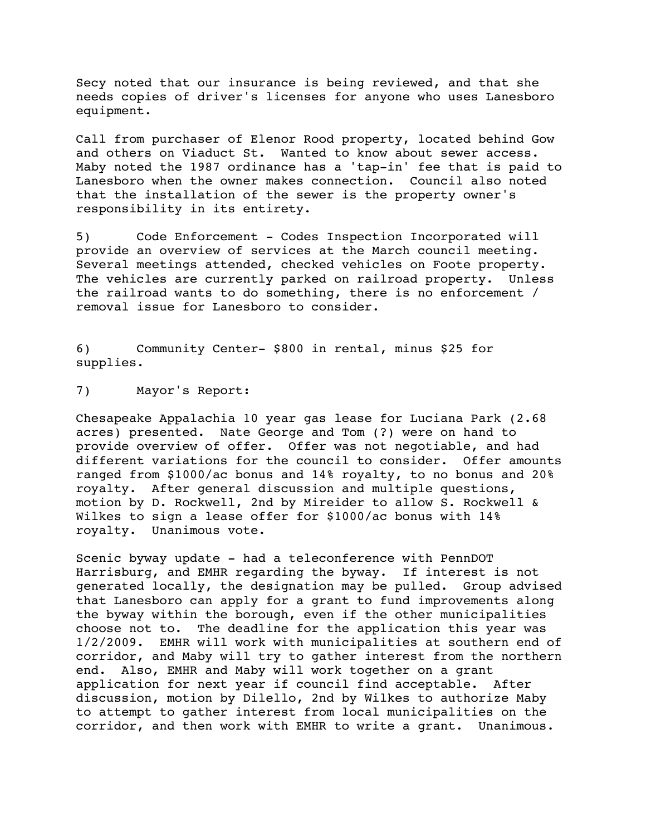Secy noted that our insurance is being reviewed, and that she needs copies of driver's licenses for anyone who uses Lanesboro equipment.

Call from purchaser of Elenor Rood property, located behind Gow and others on Viaduct St. Wanted to know about sewer access. Maby noted the 1987 ordinance has a 'tap-in' fee that is paid to Lanesboro when the owner makes connection. Council also noted that the installation of the sewer is the property owner's responsibility in its entirety.

5) Code Enforcement - Codes Inspection Incorporated will provide an overview of services at the March council meeting. Several meetings attended, checked vehicles on Foote property. The vehicles are currently parked on railroad property. Unless the railroad wants to do something, there is no enforcement / removal issue for Lanesboro to consider.

6) Community Center- \$800 in rental, minus \$25 for supplies.

7) Mayor's Report:

Chesapeake Appalachia 10 year gas lease for Luciana Park (2.68 acres) presented. Nate George and Tom (?) were on hand to provide overview of offer. Offer was not negotiable, and had different variations for the council to consider. Offer amounts ranged from \$1000/ac bonus and 14% royalty, to no bonus and 20% royalty. After general discussion and multiple questions, motion by D. Rockwell, 2nd by Mireider to allow S. Rockwell & Wilkes to sign a lease offer for \$1000/ac bonus with 14% royalty. Unanimous vote.

Scenic byway update - had a teleconference with PennDOT Harrisburg, and EMHR regarding the byway. If interest is not generated locally, the designation may be pulled. Group advised that Lanesboro can apply for a grant to fund improvements along the byway within the borough, even if the other municipalities choose not to. The deadline for the application this year was 1/2/2009. EMHR will work with municipalities at southern end of corridor, and Maby will try to gather interest from the northern end. Also, EMHR and Maby will work together on a grant application for next year if council find acceptable. After discussion, motion by Dilello, 2nd by Wilkes to authorize Maby to attempt to gather interest from local municipalities on the corridor, and then work with EMHR to write a grant. Unanimous.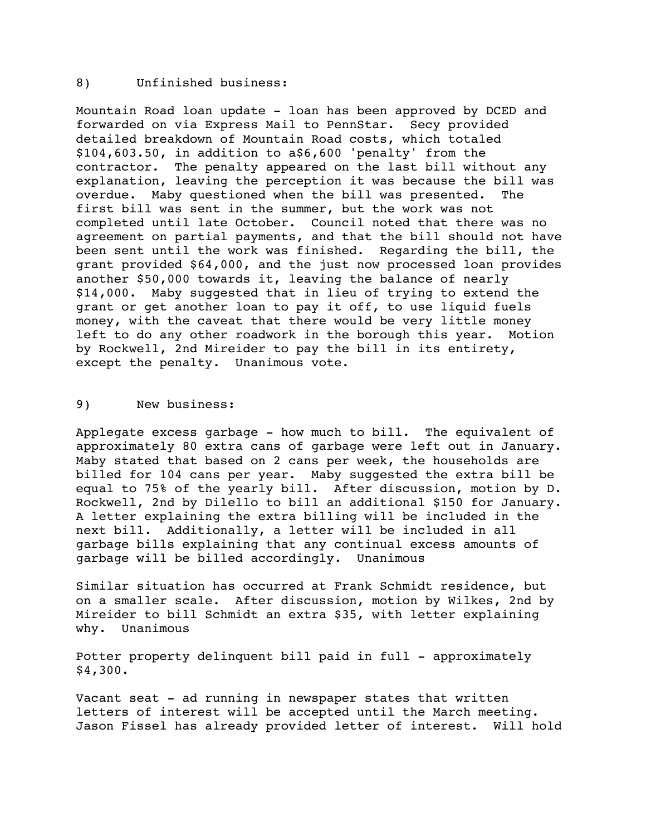## 8) Unfinished business:

Mountain Road loan update - loan has been approved by DCED and forwarded on via Express Mail to PennStar. Secy provided detailed breakdown of Mountain Road costs, which totaled \$104,603.50, in addition to a\$6,600 'penalty' from the contractor. The penalty appeared on the last bill without any explanation, leaving the perception it was because the bill was overdue. Maby questioned when the bill was presented. The first bill was sent in the summer, but the work was not completed until late October. Council noted that there was no agreement on partial payments, and that the bill should not have been sent until the work was finished. Regarding the bill, the grant provided \$64,000, and the just now processed loan provides another \$50,000 towards it, leaving the balance of nearly \$14,000. Maby suggested that in lieu of trying to extend the grant or get another loan to pay it off, to use liquid fuels money, with the caveat that there would be very little money left to do any other roadwork in the borough this year. Motion by Rockwell, 2nd Mireider to pay the bill in its entirety, except the penalty. Unanimous vote.

## 9) New business:

Applegate excess garbage - how much to bill. The equivalent of approximately 80 extra cans of garbage were left out in January. Maby stated that based on 2 cans per week, the households are billed for 104 cans per year. Maby suggested the extra bill be equal to 75% of the yearly bill. After discussion, motion by D. Rockwell, 2nd by Dilello to bill an additional \$150 for January. A letter explaining the extra billing will be included in the next bill. Additionally, a letter will be included in all garbage bills explaining that any continual excess amounts of garbage will be billed accordingly. Unanimous

Similar situation has occurred at Frank Schmidt residence, but on a smaller scale. After discussion, motion by Wilkes, 2nd by Mireider to bill Schmidt an extra \$35, with letter explaining why. Unanimous

Potter property delinquent bill paid in full - approximately \$4,300.

Vacant seat - ad running in newspaper states that written letters of interest will be accepted until the March meeting. Jason Fissel has already provided letter of interest. Will hold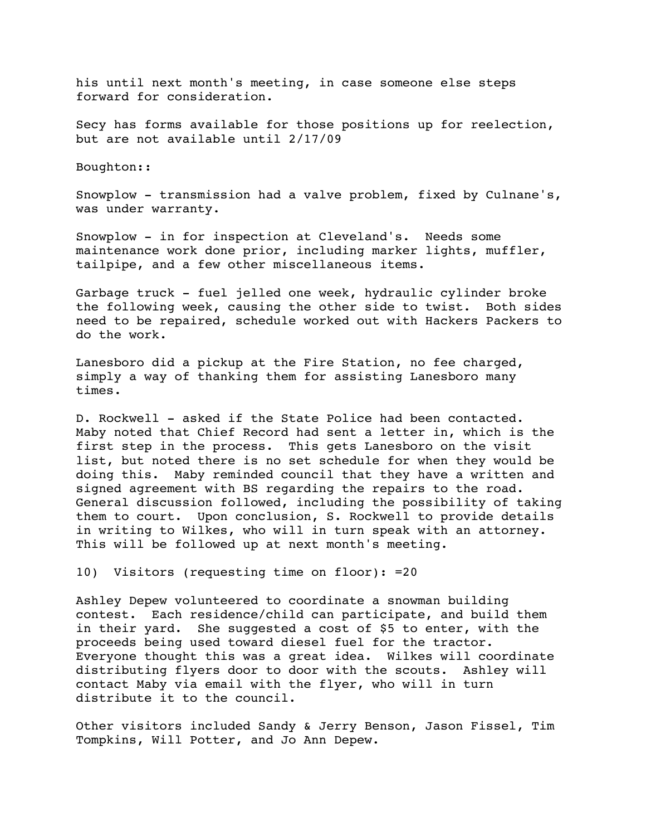his until next month's meeting, in case someone else steps forward for consideration.

Secy has forms available for those positions up for reelection, but are not available until 2/17/09

Boughton::

Snowplow - transmission had a valve problem, fixed by Culnane's, was under warranty.

Snowplow - in for inspection at Cleveland's. Needs some maintenance work done prior, including marker lights, muffler, tailpipe, and a few other miscellaneous items.

Garbage truck - fuel jelled one week, hydraulic cylinder broke the following week, causing the other side to twist. Both sides need to be repaired, schedule worked out with Hackers Packers to do the work.

Lanesboro did a pickup at the Fire Station, no fee charged, simply a way of thanking them for assisting Lanesboro many times.

D. Rockwell - asked if the State Police had been contacted. Maby noted that Chief Record had sent a letter in, which is the first step in the process. This gets Lanesboro on the visit list, but noted there is no set schedule for when they would be doing this. Maby reminded council that they have a written and signed agreement with BS regarding the repairs to the road. General discussion followed, including the possibility of taking them to court. Upon conclusion, S. Rockwell to provide details in writing to Wilkes, who will in turn speak with an attorney. This will be followed up at next month's meeting.

10) Visitors (requesting time on floor): =20

Ashley Depew volunteered to coordinate a snowman building contest. Each residence/child can participate, and build them in their yard. She suggested a cost of \$5 to enter, with the proceeds being used toward diesel fuel for the tractor. Everyone thought this was a great idea. Wilkes will coordinate distributing flyers door to door with the scouts. Ashley will contact Maby via email with the flyer, who will in turn distribute it to the council.

Other visitors included Sandy & Jerry Benson, Jason Fissel, Tim Tompkins, Will Potter, and Jo Ann Depew.